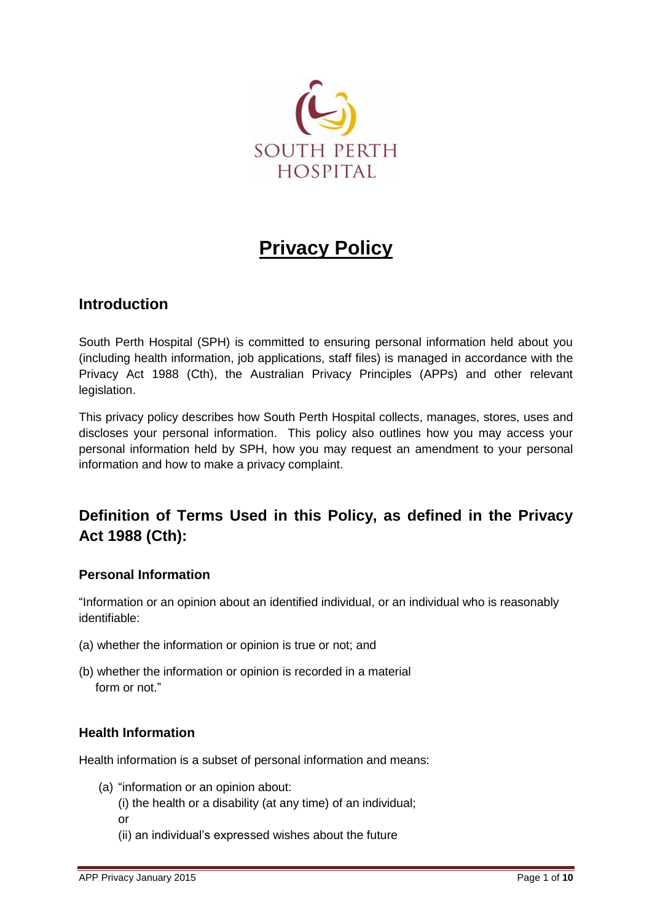

# **Privacy Policy**

# **Introduction**

South Perth Hospital (SPH) is committed to ensuring personal information held about you (including health information, job applications, staff files) is managed in accordance with the Privacy Act 1988 (Cth), the Australian Privacy Principles (APPs) and other relevant legislation.

This privacy policy describes how South Perth Hospital collects, manages, stores, uses and discloses your personal information. This policy also outlines how you may access your personal information held by SPH, how you may request an amendment to your personal information and how to make a privacy complaint.

# **Definition of Terms Used in this Policy, as defined in the Privacy Act 1988 (Cth):**

# **Personal Information**

"Information or an opinion about an identified individual, or an individual who is reasonably identifiable:

- (a) whether the information or opinion is true or not; and
- (b) whether the information or opinion is recorded in a material form or not."

# **Health Information**

Health information is a subset of personal information and means:

- (a) "information or an opinion about:
	- (i) the health or a disability (at any time) of an individual;
	- or
- 
- (ii) an individual's expressed wishes about the future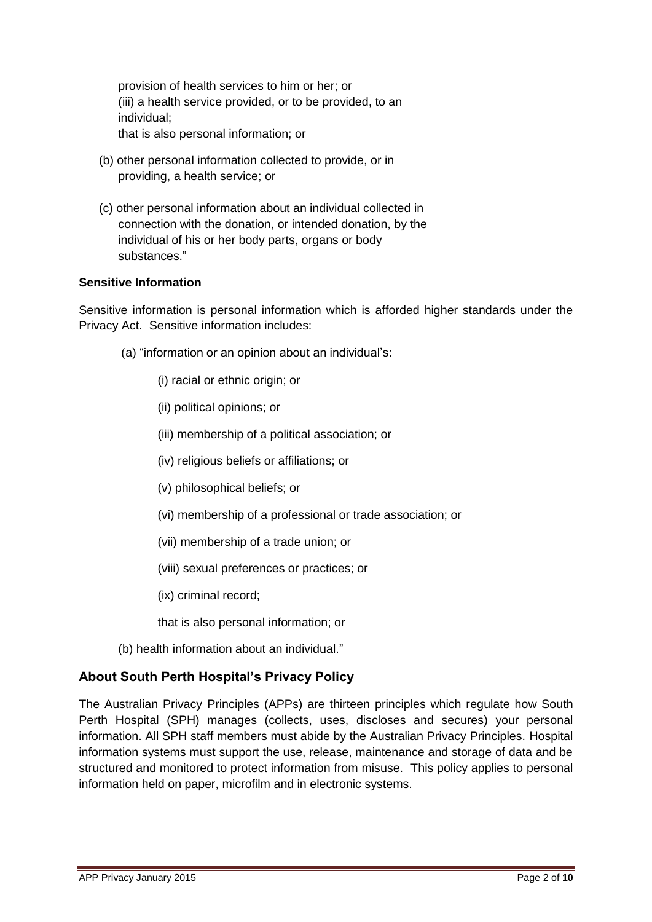provision of health services to him or her; or (iii) a health service provided, or to be provided, to an individual; that is also personal information; or

- (b) other personal information collected to provide, or in providing, a health service; or
- (c) other personal information about an individual collected in connection with the donation, or intended donation, by the individual of his or her body parts, organs or body substances."

## **Sensitive Information**

Sensitive information is personal information which is afforded higher standards under the Privacy Act. Sensitive information includes:

- (a) "information or an opinion about an individual's:
	- (i) racial or ethnic origin; or
	- (ii) political opinions; or
	- (iii) membership of a political association; or
	- (iv) religious beliefs or affiliations; or
	- (v) philosophical beliefs; or
	- (vi) membership of a professional or trade association; or
	- (vii) membership of a trade union; or
	- (viii) sexual preferences or practices; or
	- (ix) criminal record;
	- that is also personal information; or
- (b) health information about an individual."

# **About South Perth Hospital's Privacy Policy**

The Australian Privacy Principles (APPs) are thirteen principles which regulate how South Perth Hospital (SPH) manages (collects, uses, discloses and secures) your personal information. All SPH staff members must abide by the Australian Privacy Principles. Hospital information systems must support the use, release, maintenance and storage of data and be structured and monitored to protect information from misuse. This policy applies to personal information held on paper, microfilm and in electronic systems.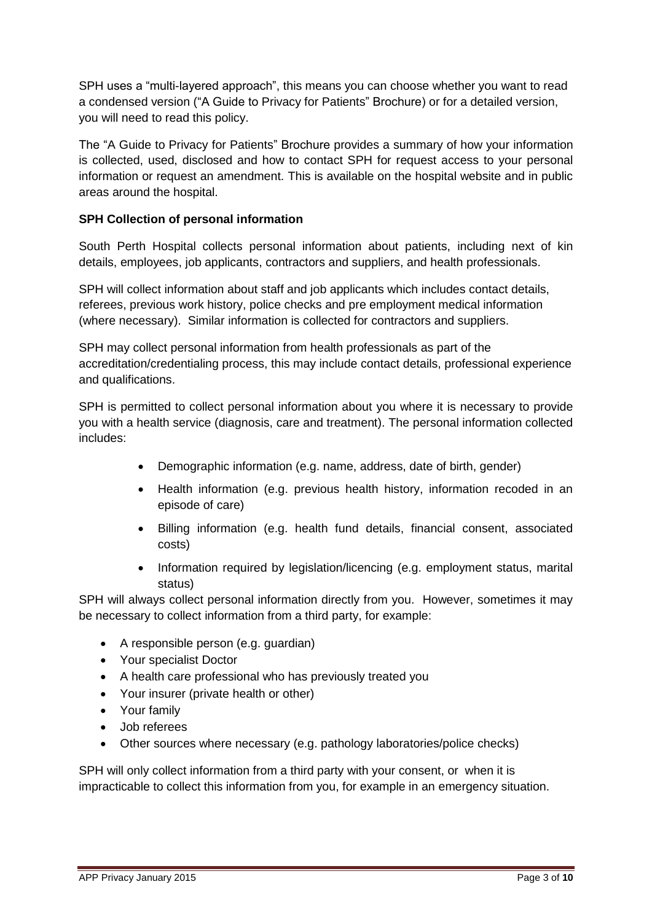SPH uses a "multi-layered approach", this means you can choose whether you want to read a condensed version ("A Guide to Privacy for Patients" Brochure) or for a detailed version, you will need to read this policy.

The "A Guide to Privacy for Patients" Brochure provides a summary of how your information is collected, used, disclosed and how to contact SPH for request access to your personal information or request an amendment. This is available on the hospital website and in public areas around the hospital.

# **SPH Collection of personal information**

South Perth Hospital collects personal information about patients, including next of kin details, employees, job applicants, contractors and suppliers, and health professionals.

SPH will collect information about staff and job applicants which includes contact details, referees, previous work history, police checks and pre employment medical information (where necessary). Similar information is collected for contractors and suppliers.

SPH may collect personal information from health professionals as part of the accreditation/credentialing process, this may include contact details, professional experience and qualifications.

SPH is permitted to collect personal information about you where it is necessary to provide you with a health service (diagnosis, care and treatment). The personal information collected includes:

- Demographic information (e.g. name, address, date of birth, gender)
- Health information (e.g. previous health history, information recoded in an episode of care)
- Billing information (e.g. health fund details, financial consent, associated costs)
- Information required by legislation/licencing (e.g. employment status, marital status)

SPH will always collect personal information directly from you. However, sometimes it may be necessary to collect information from a third party, for example:

- A responsible person (e.g. guardian)
- Your specialist Doctor
- A health care professional who has previously treated you
- Your insurer (private health or other)
- Your family
- Job referees
- Other sources where necessary (e.g. pathology laboratories/police checks)

SPH will only collect information from a third party with your consent, or when it is impracticable to collect this information from you, for example in an emergency situation.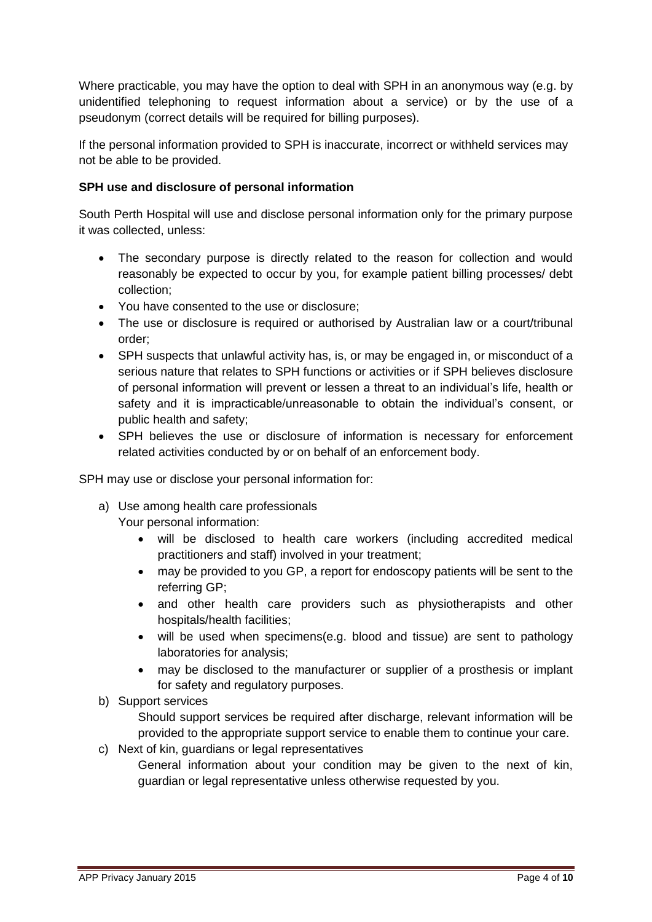Where practicable, you may have the option to deal with SPH in an anonymous way (e.g. by unidentified telephoning to request information about a service) or by the use of a pseudonym (correct details will be required for billing purposes).

If the personal information provided to SPH is inaccurate, incorrect or withheld services may not be able to be provided.

# **SPH use and disclosure of personal information**

South Perth Hospital will use and disclose personal information only for the primary purpose it was collected, unless:

- The secondary purpose is directly related to the reason for collection and would reasonably be expected to occur by you, for example patient billing processes/ debt collection;
- You have consented to the use or disclosure;
- The use or disclosure is required or authorised by Australian law or a court/tribunal order;
- SPH suspects that unlawful activity has, is, or may be engaged in, or misconduct of a serious nature that relates to SPH functions or activities or if SPH believes disclosure of personal information will prevent or lessen a threat to an individual's life, health or safety and it is impracticable/unreasonable to obtain the individual's consent, or public health and safety;
- SPH believes the use or disclosure of information is necessary for enforcement related activities conducted by or on behalf of an enforcement body.

SPH may use or disclose your personal information for:

- a) Use among health care professionals Your personal information:
	- will be disclosed to health care workers (including accredited medical practitioners and staff) involved in your treatment;
	- may be provided to you GP, a report for endoscopy patients will be sent to the referring GP;
	- and other health care providers such as physiotherapists and other hospitals/health facilities;
	- will be used when specimens(e.g. blood and tissue) are sent to pathology laboratories for analysis;
	- may be disclosed to the manufacturer or supplier of a prosthesis or implant for safety and regulatory purposes.
- b) Support services

Should support services be required after discharge, relevant information will be provided to the appropriate support service to enable them to continue your care.

- c) Next of kin, guardians or legal representatives
	- General information about your condition may be given to the next of kin, guardian or legal representative unless otherwise requested by you.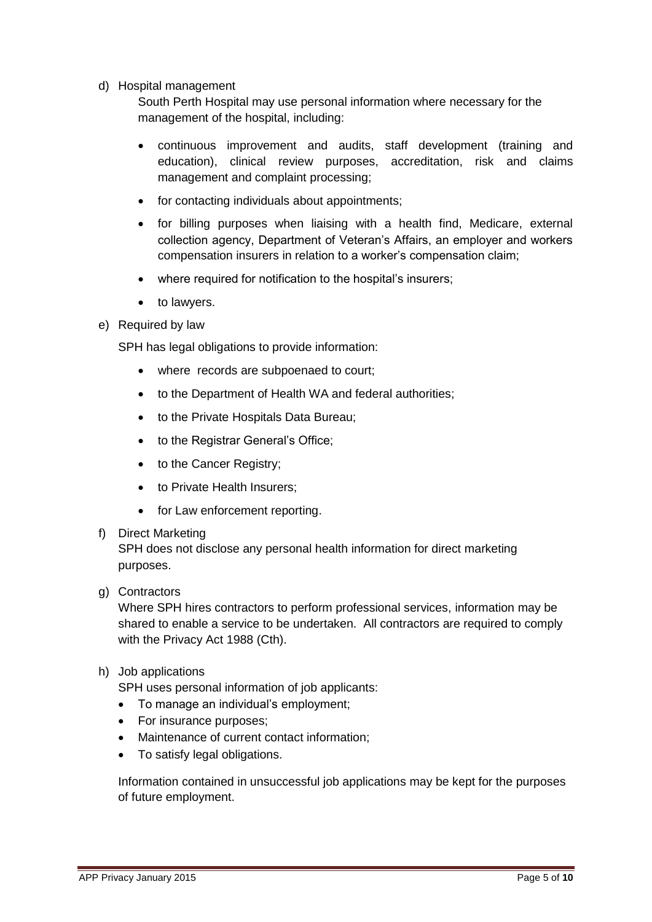d) Hospital management

South Perth Hospital may use personal information where necessary for the management of the hospital, including:

- continuous improvement and audits, staff development (training and education), clinical review purposes, accreditation, risk and claims management and complaint processing;
- for contacting individuals about appointments:
- for billing purposes when liaising with a health find, Medicare, external collection agency, Department of Veteran's Affairs, an employer and workers compensation insurers in relation to a worker's compensation claim;
- where required for notification to the hospital's insurers;
- to lawyers.
- e) Required by law

SPH has legal obligations to provide information:

- where records are subpoenaed to court;
- to the Department of Health WA and federal authorities;
- to the Private Hospitals Data Bureau:
- to the Registrar General's Office;
- to the Cancer Registry;
- to Private Health Insurers;
- for Law enforcement reporting.

## f) Direct Marketing

SPH does not disclose any personal health information for direct marketing purposes.

## g) Contractors

Where SPH hires contractors to perform professional services, information may be shared to enable a service to be undertaken. All contractors are required to comply with the Privacy Act 1988 (Cth).

h) Job applications

SPH uses personal information of job applicants:

- To manage an individual's employment;
- For insurance purposes;
- Maintenance of current contact information;
- To satisfy legal obligations.

Information contained in unsuccessful job applications may be kept for the purposes of future employment.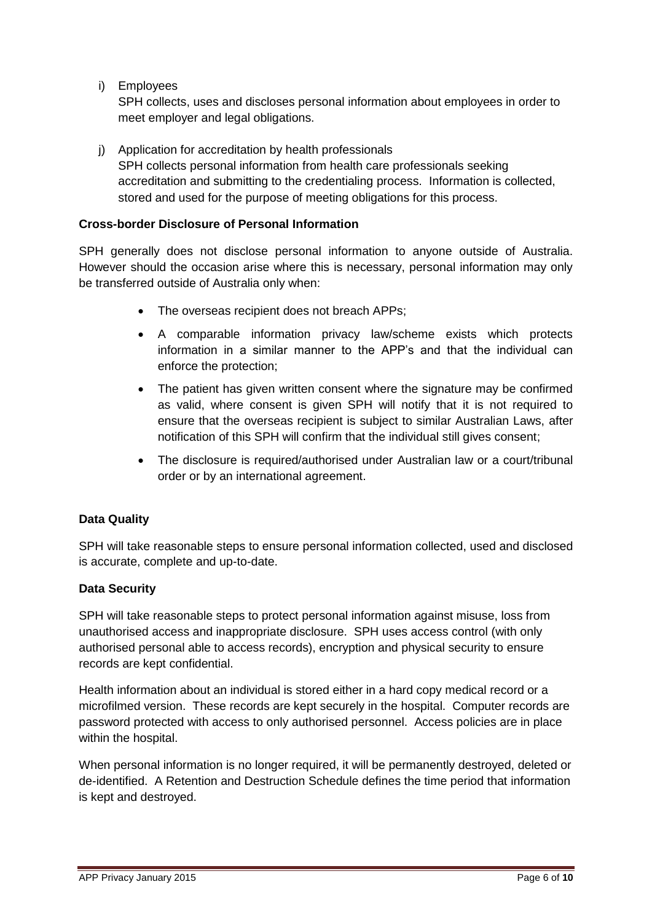i) Employees

SPH collects, uses and discloses personal information about employees in order to meet employer and legal obligations.

j) Application for accreditation by health professionals SPH collects personal information from health care professionals seeking accreditation and submitting to the credentialing process. Information is collected, stored and used for the purpose of meeting obligations for this process.

# **Cross-border Disclosure of Personal Information**

SPH generally does not disclose personal information to anyone outside of Australia. However should the occasion arise where this is necessary, personal information may only be transferred outside of Australia only when:

- The overseas recipient does not breach APPs;
- A comparable information privacy law/scheme exists which protects information in a similar manner to the APP's and that the individual can enforce the protection;
- The patient has given written consent where the signature may be confirmed as valid, where consent is given SPH will notify that it is not required to ensure that the overseas recipient is subject to similar Australian Laws, after notification of this SPH will confirm that the individual still gives consent;
- The disclosure is required/authorised under Australian law or a court/tribunal order or by an international agreement.

# **Data Quality**

SPH will take reasonable steps to ensure personal information collected, used and disclosed is accurate, complete and up-to-date.

## **Data Security**

SPH will take reasonable steps to protect personal information against misuse, loss from unauthorised access and inappropriate disclosure. SPH uses access control (with only authorised personal able to access records), encryption and physical security to ensure records are kept confidential.

Health information about an individual is stored either in a hard copy medical record or a microfilmed version. These records are kept securely in the hospital. Computer records are password protected with access to only authorised personnel. Access policies are in place within the hospital.

When personal information is no longer required, it will be permanently destroyed, deleted or de-identified. A Retention and Destruction Schedule defines the time period that information is kept and destroyed.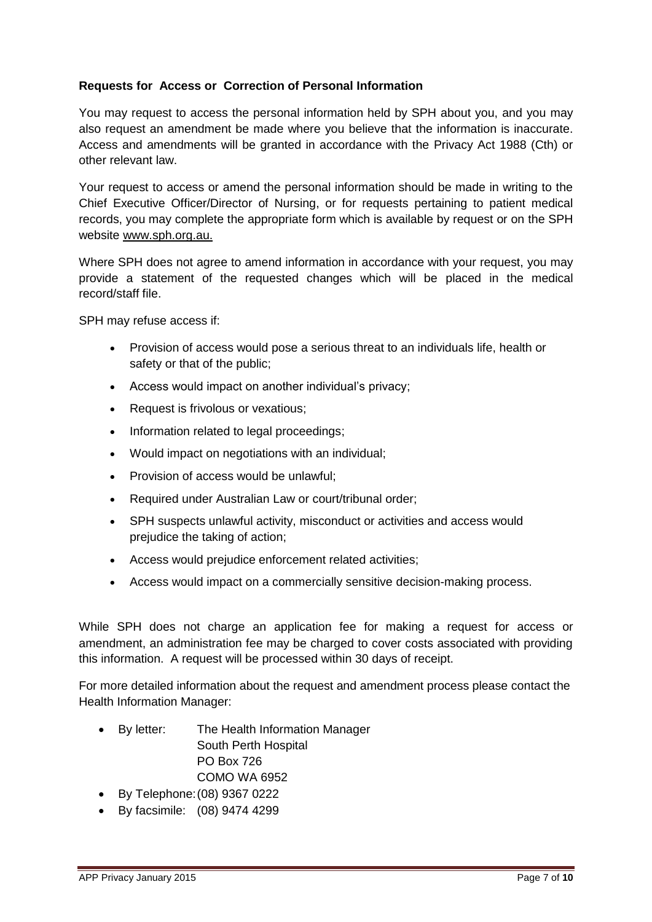# **Requests for Access or Correction of Personal Information**

You may request to access the personal information held by SPH about you, and you may also request an amendment be made where you believe that the information is inaccurate. Access and amendments will be granted in accordance with the Privacy Act 1988 (Cth) or other relevant law.

Your request to access or amend the personal information should be made in writing to the Chief Executive Officer/Director of Nursing, or for requests pertaining to patient medical records, you may complete the appropriate form which is available by request or on the SPH website [www.sph.org.au.](http://www.sph.org.au/)

Where SPH does not agree to amend information in accordance with your request, you may provide a statement of the requested changes which will be placed in the medical record/staff file.

SPH may refuse access if:

- Provision of access would pose a serious threat to an individuals life, health or safety or that of the public;
- Access would impact on another individual's privacy;
- Request is frivolous or vexatious;
- Information related to legal proceedings;
- Would impact on negotiations with an individual;
- Provision of access would be unlawful;
- Required under Australian Law or court/tribunal order;
- SPH suspects unlawful activity, misconduct or activities and access would prejudice the taking of action;
- Access would prejudice enforcement related activities;
- Access would impact on a commercially sensitive decision-making process.

While SPH does not charge an application fee for making a request for access or amendment, an administration fee may be charged to cover costs associated with providing this information. A request will be processed within 30 days of receipt.

For more detailed information about the request and amendment process please contact the Health Information Manager:

- By letter: The Health Information Manager South Perth Hospital PO Box 726 COMO WA 6952
- By Telephone:(08) 9367 0222
- By facsimile: (08) 9474 4299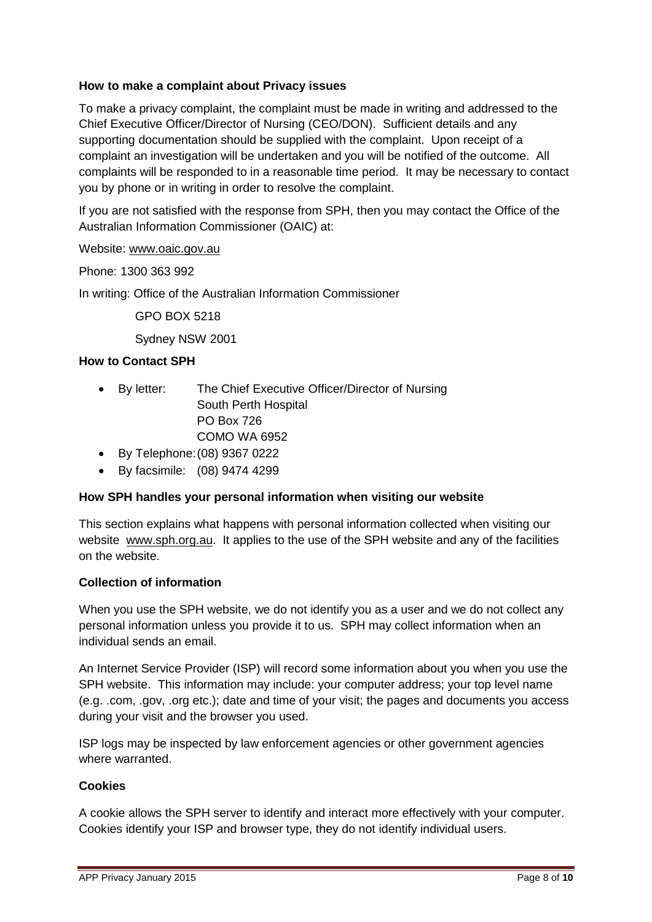# **How to make a complaint about Privacy issues**

To make a privacy complaint, the complaint must be made in writing and addressed to the Chief Executive Officer/Director of Nursing (CEO/DON). Sufficient details and any supporting documentation should be supplied with the complaint. Upon receipt of a complaint an investigation will be undertaken and you will be notified of the outcome. All complaints will be responded to in a reasonable time period. It may be necessary to contact you by phone or in writing in order to resolve the complaint.

If you are not satisfied with the response from SPH, then you may contact the Office of the Australian Information Commissioner (OAIC) at:

#### Website: [www.oaic.gov.au](http://www.oaic.gov.au/)

Phone: 1300 363 992

In writing: Office of the Australian Information Commissioner

GPO BOX 5218

Sydney NSW 2001

#### **How to Contact SPH**

- By letter: The Chief Executive Officer/Director of Nursing South Perth Hospital PO Box 726 COMO WA 6952
- By Telephone:(08) 9367 0222
- By facsimile: (08) 9474 4299

## **How SPH handles your personal information when visiting our website**

This section explains what happens with personal information collected when visiting our website [www.sph.org.au.](http://www.sph.org.au/) It applies to the use of the SPH website and any of the facilities on the website.

## **Collection of information**

When you use the SPH website, we do not identify you as a user and we do not collect any personal information unless you provide it to us. SPH may collect information when an individual sends an email.

An Internet Service Provider (ISP) will record some information about you when you use the SPH website. This information may include: your computer address; your top level name (e.g. .com, .gov, .org etc.); date and time of your visit; the pages and documents you access during your visit and the browser you used.

ISP logs may be inspected by law enforcement agencies or other government agencies where warranted.

## **Cookies**

A cookie allows the SPH server to identify and interact more effectively with your computer. Cookies identify your ISP and browser type, they do not identify individual users.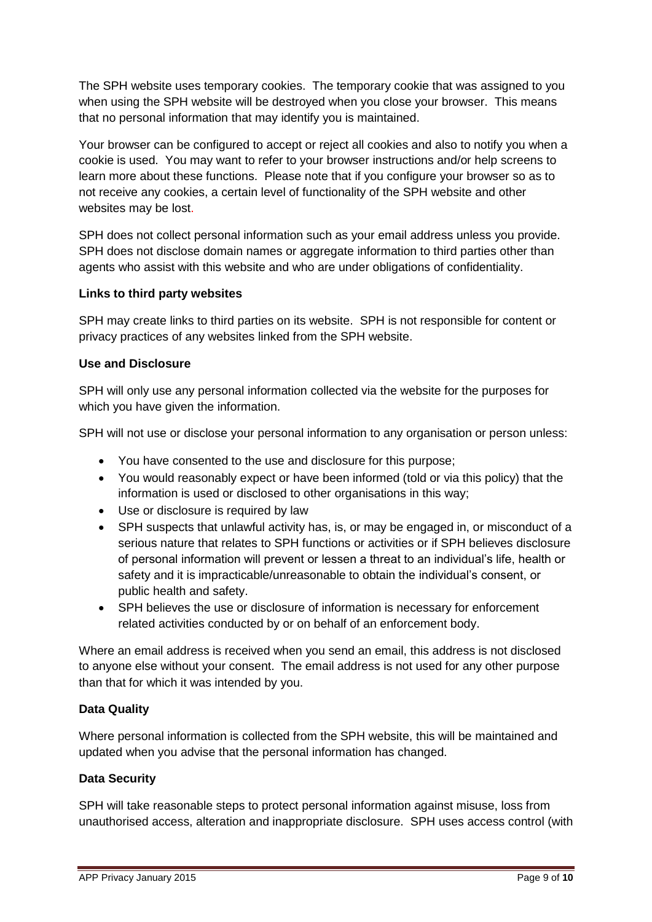The SPH website uses temporary cookies. The temporary cookie that was assigned to you when using the SPH website will be destroyed when you close your browser. This means that no personal information that may identify you is maintained.

Your browser can be configured to accept or reject all cookies and also to notify you when a cookie is used. You may want to refer to your browser instructions and/or help screens to learn more about these functions. Please note that if you configure your browser so as to not receive any cookies, a certain level of functionality of the SPH website and other websites may be lost.

SPH does not collect personal information such as your email address unless you provide. SPH does not disclose domain names or aggregate information to third parties other than agents who assist with this website and who are under obligations of confidentiality.

# **Links to third party websites**

SPH may create links to third parties on its website. SPH is not responsible for content or privacy practices of any websites linked from the SPH website.

# **Use and Disclosure**

SPH will only use any personal information collected via the website for the purposes for which you have given the information.

SPH will not use or disclose your personal information to any organisation or person unless:

- You have consented to the use and disclosure for this purpose;
- You would reasonably expect or have been informed (told or via this policy) that the information is used or disclosed to other organisations in this way;
- Use or disclosure is required by law
- SPH suspects that unlawful activity has, is, or may be engaged in, or misconduct of a serious nature that relates to SPH functions or activities or if SPH believes disclosure of personal information will prevent or lessen a threat to an individual's life, health or safety and it is impracticable/unreasonable to obtain the individual's consent, or public health and safety.
- SPH believes the use or disclosure of information is necessary for enforcement related activities conducted by or on behalf of an enforcement body.

Where an email address is received when you send an email, this address is not disclosed to anyone else without your consent. The email address is not used for any other purpose than that for which it was intended by you.

# **Data Quality**

Where personal information is collected from the SPH website, this will be maintained and updated when you advise that the personal information has changed.

## **Data Security**

SPH will take reasonable steps to protect personal information against misuse, loss from unauthorised access, alteration and inappropriate disclosure. SPH uses access control (with